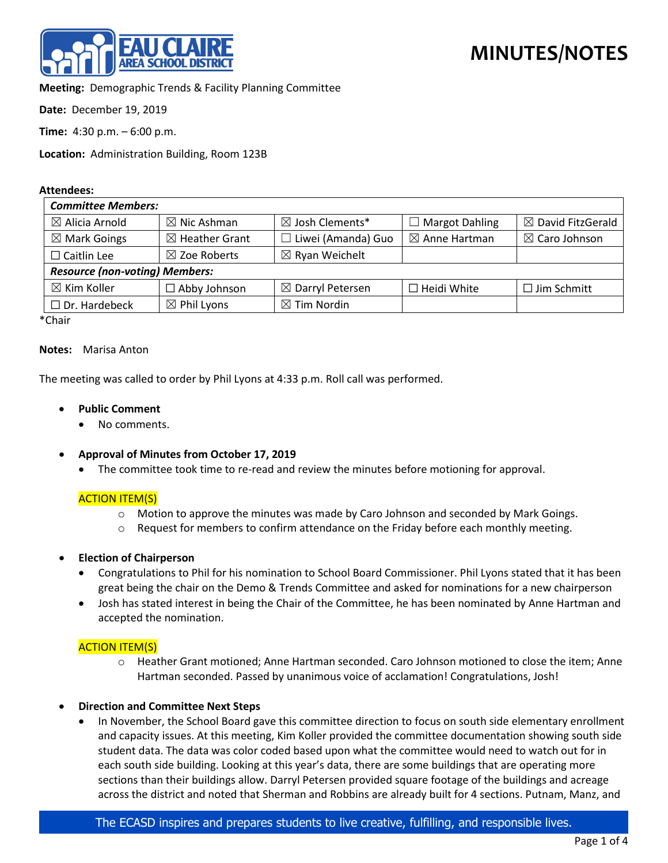

**Meeting:** Demographic Trends & Facility Planning Committee

**Date:** December 19, 2019

**Time:** 4:30 p.m. – 6:00 p.m.

**Location:** Administration Building, Room 123B

### **Attendees:**

| <b>Committee Members:</b>             |                           |                             |                          |                              |
|---------------------------------------|---------------------------|-----------------------------|--------------------------|------------------------------|
| $\boxtimes$ Alicia Arnold             | $\boxtimes$ Nic Ashman    | $\boxtimes$ Josh Clements*  | $\Box$ Margot Dahling    | $\boxtimes$ David FitzGerald |
| $\boxtimes$ Mark Goings               | $\boxtimes$ Heather Grant | $\Box$ Liwei (Amanda) Guo   | $\boxtimes$ Anne Hartman | $\boxtimes$ Caro Johnson     |
| $\Box$ Caitlin Lee                    | $\boxtimes$ Zoe Roberts   | $\boxtimes$ Ryan Weichelt   |                          |                              |
| <b>Resource (non-voting) Members:</b> |                           |                             |                          |                              |
| $\boxtimes$ Kim Koller                | $\Box$ Abby Johnson       | $\boxtimes$ Darryl Petersen | $\Box$ Heidi White       | $\Box$ Jim Schmitt           |
| $\Box$ Dr. Hardebeck                  | $\boxtimes$ Phil Lyons    | $\boxtimes$ Tim Nordin      |                          |                              |
|                                       |                           |                             |                          |                              |

\*Chair

### **Notes:** Marisa Anton

The meeting was called to order by Phil Lyons at 4:33 p.m. Roll call was performed.

- **Public Comment**
	- No comments.
- **Approval of Minutes from October 17, 2019**
	- The committee took time to re-read and review the minutes before motioning for approval.

## ACTION ITEM(S)

- $\circ$  Motion to approve the minutes was made by Caro Johnson and seconded by Mark Goings.
- $\circ$  Request for members to confirm attendance on the Friday before each monthly meeting.

### • **Election of Chairperson**

- Congratulations to Phil for his nomination to School Board Commissioner. Phil Lyons stated that it has been great being the chair on the Demo & Trends Committee and asked for nominations for a new chairperson
- Josh has stated interest in being the Chair of the Committee, he has been nominated by Anne Hartman and accepted the nomination.

### ACTION ITEM(S)

- $\circ$  Heather Grant motioned; Anne Hartman seconded. Caro Johnson motioned to close the item; Anne Hartman seconded. Passed by unanimous voice of acclamation! Congratulations, Josh!
- **Direction and Committee Next Steps**
	- In November, the School Board gave this committee direction to focus on south side elementary enrollment and capacity issues. At this meeting, Kim Koller provided the committee documentation showing south side student data. The data was color coded based upon what the committee would need to watch out for in each south side building. Looking at this year's data, there are some buildings that are operating more sections than their buildings allow. Darryl Petersen provided square footage of the buildings and acreage across the district and noted that Sherman and Robbins are already built for 4 sections. Putnam, Manz, and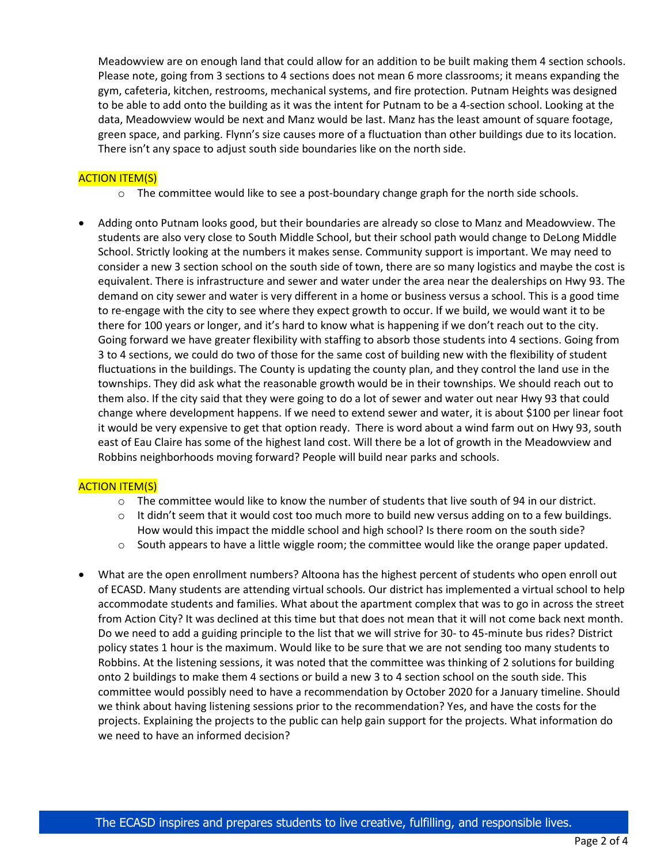Meadowview are on enough land that could allow for an addition to be built making them 4 section schools. Please note, going from 3 sections to 4 sections does not mean 6 more classrooms; it means expanding the gym, cafeteria, kitchen, restrooms, mechanical systems, and fire protection. Putnam Heights was designed to be able to add onto the building as it was the intent for Putnam to be a 4-section school. Looking at the data, Meadowview would be next and Manz would be last. Manz has the least amount of square footage, green space, and parking. Flynn's size causes more of a fluctuation than other buildings due to its location. There isn't any space to adjust south side boundaries like on the north side.

## ACTION ITEM(S)

- $\circ$  The committee would like to see a post-boundary change graph for the north side schools.
- Adding onto Putnam looks good, but their boundaries are already so close to Manz and Meadowview. The students are also very close to South Middle School, but their school path would change to DeLong Middle School. Strictly looking at the numbers it makes sense. Community support is important. We may need to consider a new 3 section school on the south side of town, there are so many logistics and maybe the cost is equivalent. There is infrastructure and sewer and water under the area near the dealerships on Hwy 93. The demand on city sewer and water is very different in a home or business versus a school. This is a good time to re-engage with the city to see where they expect growth to occur. If we build, we would want it to be there for 100 years or longer, and it's hard to know what is happening if we don't reach out to the city. Going forward we have greater flexibility with staffing to absorb those students into 4 sections. Going from 3 to 4 sections, we could do two of those for the same cost of building new with the flexibility of student fluctuations in the buildings. The County is updating the county plan, and they control the land use in the townships. They did ask what the reasonable growth would be in their townships. We should reach out to them also. If the city said that they were going to do a lot of sewer and water out near Hwy 93 that could change where development happens. If we need to extend sewer and water, it is about \$100 per linear foot it would be very expensive to get that option ready. There is word about a wind farm out on Hwy 93, south east of Eau Claire has some of the highest land cost. Will there be a lot of growth in the Meadowview and Robbins neighborhoods moving forward? People will build near parks and schools.

## ACTION ITEM(S)

- $\circ$  The committee would like to know the number of students that live south of 94 in our district.
- $\circ$  It didn't seem that it would cost too much more to build new versus adding on to a few buildings. How would this impact the middle school and high school? Is there room on the south side?
- $\circ$  South appears to have a little wiggle room; the committee would like the orange paper updated.
- What are the open enrollment numbers? Altoona has the highest percent of students who open enroll out of ECASD. Many students are attending virtual schools. Our district has implemented a virtual school to help accommodate students and families. What about the apartment complex that was to go in across the street from Action City? It was declined at this time but that does not mean that it will not come back next month. Do we need to add a guiding principle to the list that we will strive for 30- to 45-minute bus rides? District policy states 1 hour is the maximum. Would like to be sure that we are not sending too many students to Robbins. At the listening sessions, it was noted that the committee was thinking of 2 solutions for building onto 2 buildings to make them 4 sections or build a new 3 to 4 section school on the south side. This committee would possibly need to have a recommendation by October 2020 for a January timeline. Should we think about having listening sessions prior to the recommendation? Yes, and have the costs for the projects. Explaining the projects to the public can help gain support for the projects. What information do we need to have an informed decision?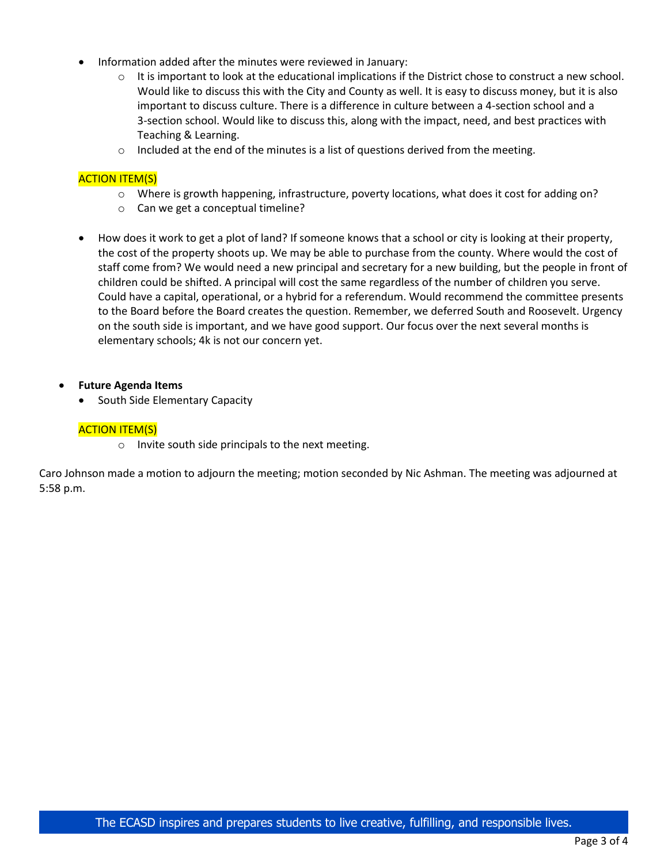- Information added after the minutes were reviewed in January:
	- $\circ$  It is important to look at the educational implications if the District chose to construct a new school. Would like to discuss this with the City and County as well. It is easy to discuss money, but it is also important to discuss culture. There is a difference in culture between a 4-section school and a 3-section school. Would like to discuss this, along with the impact, need, and best practices with Teaching & Learning.
	- $\circ$  Included at the end of the minutes is a list of questions derived from the meeting.

### ACTION ITEM(S)

- o Where is growth happening, infrastructure, poverty locations, what does it cost for adding on?
- o Can we get a conceptual timeline?
- How does it work to get a plot of land? If someone knows that a school or city is looking at their property, the cost of the property shoots up. We may be able to purchase from the county. Where would the cost of staff come from? We would need a new principal and secretary for a new building, but the people in front of children could be shifted. A principal will cost the same regardless of the number of children you serve. Could have a capital, operational, or a hybrid for a referendum. Would recommend the committee presents to the Board before the Board creates the question. Remember, we deferred South and Roosevelt. Urgency on the south side is important, and we have good support. Our focus over the next several months is elementary schools; 4k is not our concern yet.

### • **Future Agenda Items**

• South Side Elementary Capacity

### ACTION ITEM(S)

o Invite south side principals to the next meeting.

Caro Johnson made a motion to adjourn the meeting; motion seconded by Nic Ashman. The meeting was adjourned at 5:58 p.m.